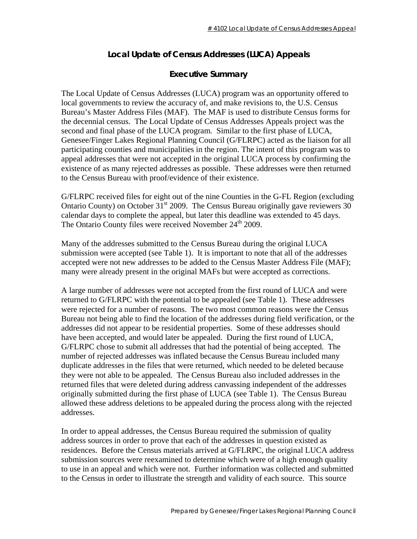## **Local Update of Census Addresses (LUCA) Appeals**

## **Executive Summary**

The Local Update of Census Addresses (LUCA) program was an opportunity offered to local governments to review the accuracy of, and make revisions to, the U.S. Census Bureau's Master Address Files (MAF). The MAF is used to distribute Census forms for the decennial census. The Local Update of Census Addresses Appeals project was the second and final phase of the LUCA program. Similar to the first phase of LUCA, Genesee/Finger Lakes Regional Planning Council (G/FLRPC) acted as the liaison for all participating counties and municipalities in the region. The intent of this program was to appeal addresses that were not accepted in the original LUCA process by confirming the existence of as many rejected addresses as possible. These addresses were then returned to the Census Bureau with proof/evidence of their existence.

G/FLRPC received files for eight out of the nine Counties in the G-FL Region (excluding Ontario County) on October  $31<sup>st</sup>$  2009. The Census Bureau originally gave reviewers 30 calendar days to complete the appeal, but later this deadline was extended to 45 days. The Ontario County files were received November 24<sup>th</sup> 2009.

Many of the addresses submitted to the Census Bureau during the original LUCA submission were accepted (see Table 1). It is important to note that all of the addresses accepted were not new addresses to be added to the Census Master Address File (MAF); many were already present in the original MAFs but were accepted as corrections.

A large number of addresses were not accepted from the first round of LUCA and were returned to G/FLRPC with the potential to be appealed (see Table 1). These addresses were rejected for a number of reasons. The two most common reasons were the Census Bureau not being able to find the location of the addresses during field verification, or the addresses did not appear to be residential properties. Some of these addresses should have been accepted, and would later be appealed. During the first round of LUCA, G/FLRPC chose to submit all addresses that had the potential of being accepted. The number of rejected addresses was inflated because the Census Bureau included many duplicate addresses in the files that were returned, which needed to be deleted because they were not able to be appealed. The Census Bureau also included addresses in the returned files that were deleted during address canvassing independent of the addresses originally submitted during the first phase of LUCA (see Table 1). The Census Bureau allowed these address deletions to be appealed during the process along with the rejected addresses.

In order to appeal addresses, the Census Bureau required the submission of quality address sources in order to prove that each of the addresses in question existed as residences. Before the Census materials arrived at G/FLRPC, the original LUCA address submission sources were reexamined to determine which were of a high enough quality to use in an appeal and which were not. Further information was collected and submitted to the Census in order to illustrate the strength and validity of each source. This source